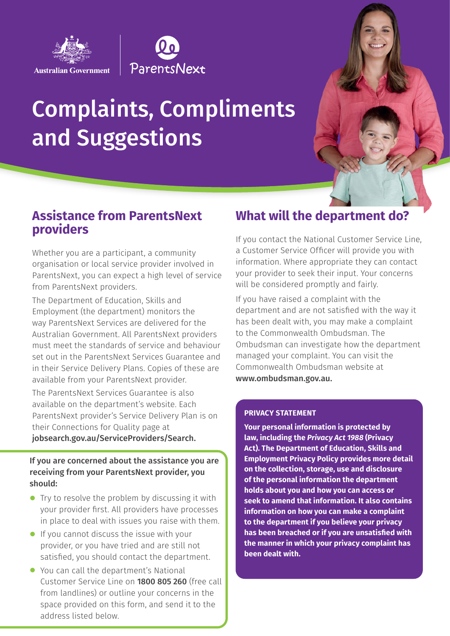



# Complaints, Compliments and Suggestions



## **Assistance from ParentsNext providers**

Whether you are a participant, a community organisation or local service provider involved in ParentsNext, you can expect a high level of service from ParentsNext providers.

The Department of Education, Skills and Employment (the department) monitors the way ParentsNext Services are delivered for the Australian Government. All ParentsNext providers must meet the standards of service and behaviour set out in the ParentsNext Services Guarantee and in their Service Delivery Plans. Copies of these are available from your ParentsNext provider.

The ParentsNext Services Guarantee is also available on the department's website. Each ParentsNext provider's Service Delivery Plan is on their Connections for Quality page at [jobsearch.gov.au/ServiceProviders/Search.](https://jobsearch.gov.au/serviceproviders/search)

### If you are concerned about the assistance you are receiving from your ParentsNext provider, you should:

- Try to resolve the problem by discussing it with your provider first. All providers have processes in place to deal with issues you raise with them.
- If you cannot discuss the issue with your provider, or you have tried and are still not satisfied, you should contact the department.
- You can call the department's National Customer Service Line on 1800 805 260 (free call from landlines) or outline your concerns in the space provided on this form, and send it to the address listed below.

## **What will the department do?**

If you contact the National Customer Service Line, a Customer Service Officer will provide you with information. Where appropriate they can contact your provider to seek their input. Your concerns will be considered promptly and fairly.

If you have raised a complaint with the department and are not satisfied with the way it has been dealt with, you may make a complaint to the Commonwealth Ombudsman. The Ombudsman can investigate how the department managed your complaint. You can visit the Commonwealth Ombudsman website at [www.ombudsman.gov.au.](https://www.ombudsman.gov.au/)

#### **PRIVACY STATEMENT**

**Your personal information is protected by law, including the** *Privacy Act 1988* **(Privacy Act). The Department of Education, Skills and Employment Privacy Policy provides more detail on the collection, storage, use and disclosure of the personal information the department holds about you and how you can access or seek to amend that information. It also contains information on how you can make a complaint to the department if you believe your privacy has been breached or if you are unsatisfied with the manner in which your privacy complaint has been dealt with.**